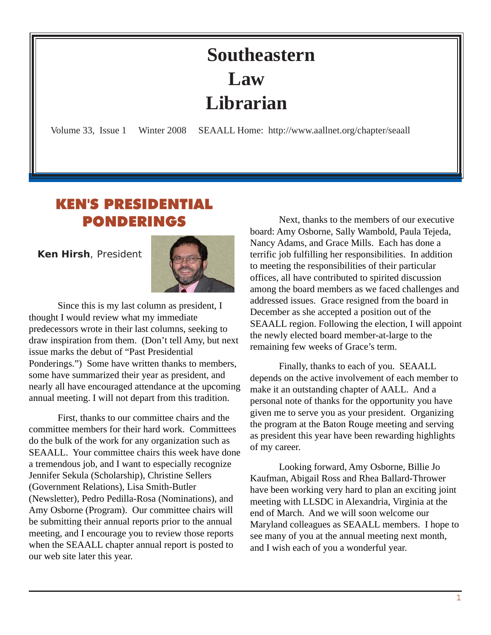## **Southeastern Law Librarian**

<span id="page-0-0"></span>Volume 33, Issue 1 Winter 2008 SEAALL Home: http://www.aallnet.org/chapter/seaall

## KEN'S PRESIDENTIAL PONDERINGS

 **Ken Hirsh**, President



Since this is my last column as president, I thought I would review what my immediate predecessors wrote in their last columns, seeking to draw inspiration from them. (Don't tell Amy, but next issue marks the debut of "Past Presidential Ponderings.") Some have written thanks to members, some have summarized their year as president, and nearly all have encouraged attendance at the upcoming annual meeting. I will not depart from this tradition.

First, thanks to our committee chairs and the committee members for their hard work. Committees do the bulk of the work for any organization such as SEAALL. Your committee chairs this week have done a tremendous job, and I want to especially recognize Jennifer Sekula (Scholarship), Christine Sellers (Government Relations), Lisa Smith-Butler (Newsletter), Pedro Pedilla-Rosa (Nominations), and Amy Osborne (Program). Our committee chairs will be submitting their annual reports prior to the annual meeting, and I encourage you to review those reports when the SEAALL chapter annual report is posted to our web site later this year.

Next, thanks to the members of our executive board: Amy Osborne, Sally Wambold, Paula Tejeda, Nancy Adams, and Grace Mills. Each has done a terrific job fulfilling her responsibilities. In addition to meeting the responsibilities of their particular offices, all have contributed to spirited discussion among the board members as we faced challenges and addressed issues. Grace resigned from the board in December as she accepted a position out of the SEAALL region. Following the election, I will appoint the newly elected board member-at-large to the remaining few weeks of Grace's term.

Finally, thanks to each of you. SEAALL depends on the active involvement of each member to make it an outstanding chapter of AALL. And a personal note of thanks for the opportunity you have given me to serve you as your president. Organizing the program at the Baton Rouge meeting and serving as president this year have been rewarding highlights of my career.

Looking forward, Amy Osborne, Billie Jo Kaufman, Abigail Ross and Rhea Ballard-Thrower have been working very hard to plan an exciting joint meeting with LLSDC in Alexandria, Virginia at the end of March. And we will soon welcome our Maryland colleagues as SEAALL members. I hope to see many of you at the annual meeting next month, and I wish each of you a wonderful year.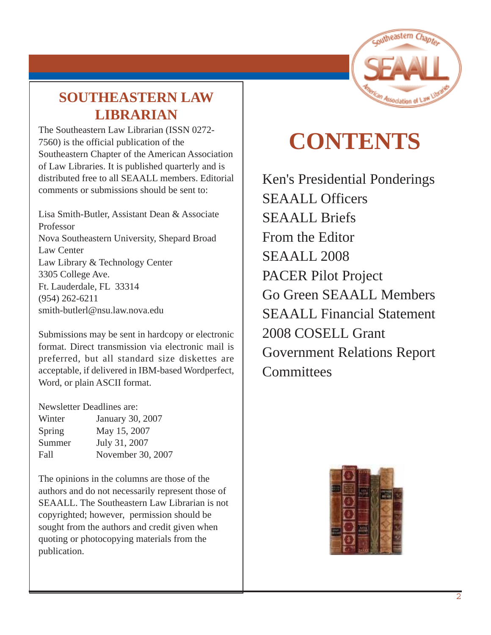

## **SOUTHEASTERN LAW LIBRARIAN**

The Southeastern Law Librarian (ISSN 0272- 7560) is the official publication of the Southeastern Chapter of the American Association of Law Libraries. It is published quarterly and is distributed free to all SEAALL members. Editorial comments or submissions should be sent to:

Lisa Smith-Butler, Assistant Dean & Associate Professor Nova Southeastern University, Shepard Broad Law Center Law Library & Technology Center 3305 College Ave. Ft. Lauderdale, FL 33314 [\(954\) 262-6211](mailto:melamut@email.unc.edu) [smith-butlerl@nsu.law.nova.edu](mailto:melamut@email.unc.edu)

Submissions may be sent in hardcopy or electronic format. Direct transmission via electronic mail is preferred, but all standard size diskettes are acceptable, if delivered in IBM-based Wordperfect, Word, or plain ASCII format.

Newsletter Deadlines are:

| Winter | January 30, 2007  |
|--------|-------------------|
| Spring | May 15, 2007      |
| Summer | July 31, 2007     |
| Fall   | November 30, 2007 |
|        |                   |

The opinions in the columns are those of the authors and do not necessarily represent those of SEAALL. The Southeastern Law Librarian is not copyrighted; however, permission should be sought from the authors and credit given when quoting or photocopying materials from the publication.

# **CONTENTS**

[Ken's Presidential Ponderings](#page-0-0) SEAALL Officers SEAALL Briefs From the Editor SEAALL 2008 PACER Pilot Project Go Green SEAALL Members SEAALL Financial Statement 2008 COSELL Grant Government Relations Report **Committees** 

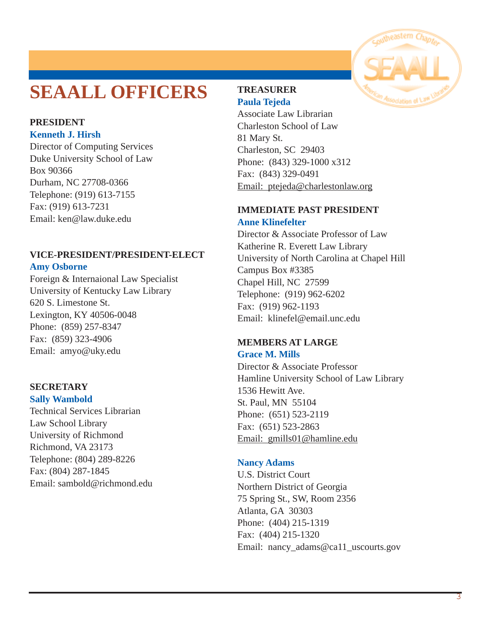## **SEAALL OFFICERS**

#### **PRESIDENT Kenneth J. Hirsh**

Director of Computing Services Duke University School of Law Box 90366 Durham, NC 27708-0366 Telephone: (919) 613-7155 Fax: (919) 613-7231 Email: [ken@law.duke.edu](mailto:ken@law.duke.edu)

## **VICE-PRESIDENT/PRESIDENT-ELECT Amy Osborne**

Foreign & Internaional Law Specialist University of Kentucky Law Library 620 S. Limestone St. Lexington, KY 40506-0048 Phone: (859) 257-8347 Fax: (859) 323-4906 [Email: amyo@uky.edu](mailto:swambold@richmond.edu)

### **SECRETARY Sally Wambold**

Technical Services Librarian Law School Library University of Richmond Richmond, VA 23173 Telephone: (804) 289-8226 Fax: (804) 287-1845 [Email: sambold@richmond.edu](mailto:swambold@richmond.edu)

## **TREASURER Paula Tejeda**

Associate Law Librarian Charleston School of Law 81 Mary St. Charleston, SC 29403 Phone: (843) 329-1000 x312 Fax: (843) 329-0491 Email: ptejeda@charlestonlaw.org

### **IMMEDIATE PAST PRESIDENT Anne Klinefelter**

Director & Associate Professor of Law Katherine R. Everett Law Library [University of North Carolina at Chapel Hill](mailto:vsmith@wcsr.com) Campus Box #3385 Chapel Hill, NC 27599 Telephone: (919) 962-6202 Fax: (919) 962-1193 [Email: klinefel@email.unc.edu](mailto:vsmith@wcsr.com)

#### **MEMBERS AT LARGE Grace M. Mills**

Director & Associate Professor Hamline University School of Law Library 1536 Hewitt Ave. St. Paul, MN 55104 Phone: (651) 523-2119 Fax: (651) 523-2863 Email: gmills01@hamline.edu

### **Nancy Adams**

U.S. District Court Northern District of Georgia 75 Spring St., SW, Room 2356 Atlanta, GA 30303 Phone: (404) 215-1319 Fax: (404) 215-1320 Email: nancy\_adams@ca11\_uscourts.gov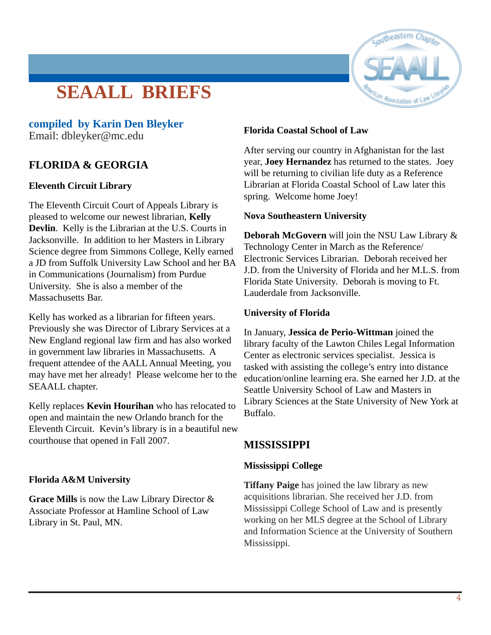## **SEAALL BRIEFS**



## **compiled by Karin Den Bleyker**

[Email: dbleyker@mc.edu](mailto:dbleyker@mc.edu)

## **FLORIDA & GEORGIA**

### **Eleventh Circuit Library**

The Eleventh Circuit Court of Appeals Library is pleased to welcome our newest librarian, **Kelly Devlin**. Kelly is the Librarian at the U.S. Courts in Jacksonville. In addition to her Masters in Library Science degree from Simmons College, Kelly earned a JD from Suffolk University Law School and her BA in Communications (Journalism) from Purdue University. She is also a member of the Massachusetts Bar.

Kelly has worked as a librarian for fifteen years. Previously she was Director of Library Services at a New England regional law firm and has also worked in government law libraries in Massachusetts. A frequent attendee of the AALL Annual Meeting, you may have met her already! Please welcome her to the SEAALL chapter.

Kelly replaces **Kevin Hourihan** who has relocated to open and maintain the new Orlando branch for the Eleventh Circuit. Kevin's library is in a beautiful new courthouse that opened in Fall 2007.

### **Florida A&M University**

**Grace Mills** is now the Law Library Director & Associate Professor at Hamline School of Law Library in St. Paul, MN.

### **Florida Coastal School of Law**

After serving our country in Afghanistan for the last year, **Joey Hernandez** has returned to the states. Joey will be returning to civilian life duty as a Reference Librarian at Florida Coastal School of Law later this spring. Welcome home Joey!

### **Nova Southeastern University**

**Deborah McGovern** will join the NSU Law Library & Technology Center in March as the Reference/ Electronic Services Librarian. Deborah received her J.D. from the University of Florida and her M.L.S. from Florida State University. Deborah is moving to Ft. Lauderdale from Jacksonville.

### **University of Florida**

In January, **Jessica de Perio-Wittman** joined the library faculty of the Lawton Chiles Legal Information Center as electronic services specialist. Jessica is tasked with assisting the college's entry into distance education/online learning era. She earned her J.D. at the Seattle University School of Law and Masters in Library Sciences at the State University of New York at Buffalo.

## **MISSISSIPPI**

### **Mississippi College**

**Tiffany Paige** has joined the law library as new acquisitions librarian. She received her J.D. from Mississippi College School of Law and is presently working on her MLS degree at the School of Library and Information Science at the University of Southern Mississippi.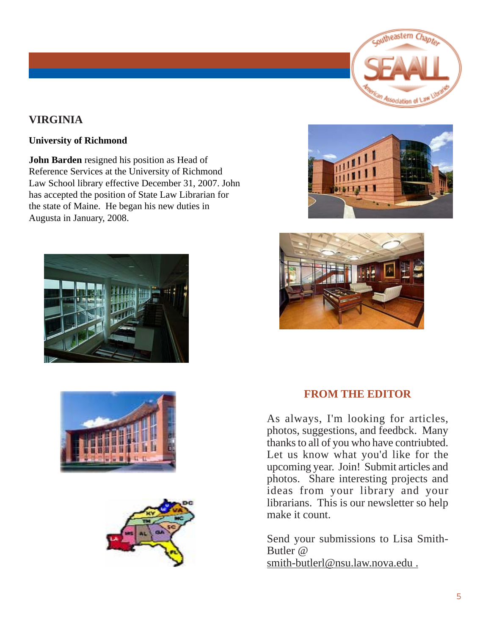

## **VIRGINIA**

### **University of Richmond**

**John Barden** resigned his position as Head of Reference Services at the University of Richmond Law School library effective December 31, 2007. John has accepted the position of State Law Librarian for the state of Maine. He began his new duties in Augusta in January, 2008.











## **FROM THE EDITOR**

As always, I'm looking for articles, photos, suggestions, and feedbck. Many thanks to all of you who have contriubted. Let us know what you'd like for the upcoming year. Join! Submit articles and photos. Share interesting projects and ideas from your library and your librarians. This is our newsletter so help make it count.

Send your submissions to Lisa Smith-Butler @ smith-butlerl@nsu.law.nova.edu .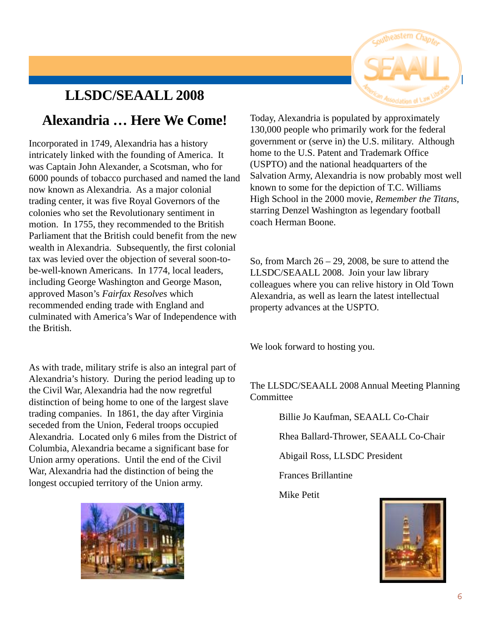## **LLSDC/SEAALL 2008**

## **Alexandria … Here We Come!**

Incorporated in 1749, Alexandria has a history intricately linked with the founding of America. It was Captain John Alexander, a Scotsman, who for 6000 pounds of tobacco purchased and named the land now known as Alexandria. As a major colonial trading center, it was five Royal Governors of the colonies who set the Revolutionary sentiment in motion. In 1755, they recommended to the British Parliament that the British could benefit from the new wealth in Alexandria. Subsequently, the first colonial tax was levied over the objection of several soon-tobe-well-known Americans. In 1774, local leaders, including George Washington and George Mason, approved Mason's *Fairfax Resolves* which recommended ending trade with England and culminated with America's War of Independence with the British.

As with trade, military strife is also an integral part of Alexandria's history. During the period leading up to the Civil War, Alexandria had the now regretful distinction of being home to one of the largest slave trading companies. In 1861, the day after Virginia seceded from the Union, Federal troops occupied Alexandria. Located only 6 miles from the District of Columbia, Alexandria became a significant base for Union army operations. Until the end of the Civil War, Alexandria had the distinction of being the longest occupied territory of the Union army.



Today, Alexandria is populated by approximately 130,000 people who primarily work for the federal government or (serve in) the U.S. military. Although home to the U.S. Patent and Trademark Office (USPTO) and the national headquarters of the Salvation Army, Alexandria is now probably most well known to some for the depiction of T.C. Williams High School in the 2000 movie, *Remember the Titans*, starring Denzel Washington as legendary football coach Herman Boone.

So, from March  $26 - 29$ , 2008, be sure to attend the LLSDC/SEAALL 2008. Join your law library colleagues where you can relive history in Old Town Alexandria, as well as learn the latest intellectual property advances at the USPTO.

We look forward to hosting you.

The LLSDC/SEAALL 2008 Annual Meeting Planning **Committee** 

Billie Jo Kaufman, SEAALL Co-Chair

Rhea Ballard-Thrower, SEAALL Co-Chair

Abigail Ross, LLSDC President

Frances Brillantine

Mike Petit

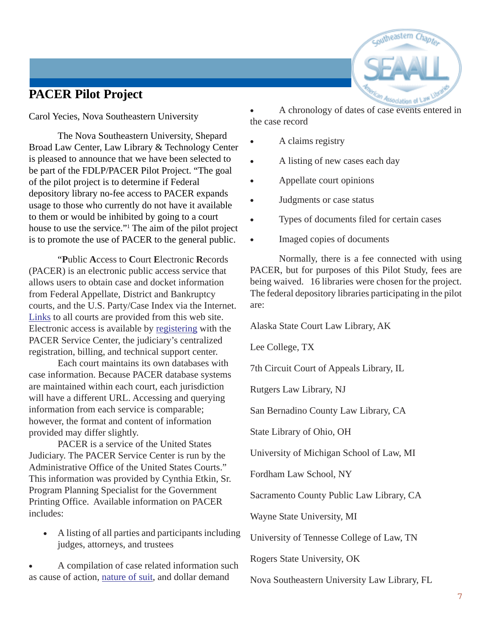## **PACER Pilot Project**

Carol Yecies, Nova Southeastern University

The Nova Southeastern University, Shepard Broad Law Center, Law Library & Technology Center is pleased to announce that we have been selected to be part of the FDLP/PACER Pilot Project. "The goal of the pilot project is to determine if Federal depository library no-fee access to PACER expands usage to those who currently do not have it available to them or would be inhibited by going to a court house to use the service."1 The aim of the pilot project is to promote the use of PACER to the general public.

"**P**ublic **A**ccess to **C**ourt **E**lectronic **R**ecords (PACER) is an electronic public access service that allows users to obtain case and docket information from Federal Appellate, District and Bankruptcy courts, and the U.S. Party/Case Index via the Internet. Links to all courts are provided from this web site. Electronic access is available by registering with the PACER Service Center, the judiciary's centralized registration, billing, and technical support center.

Each court maintains its own databases with case information. Because PACER database systems are maintained within each court, each jurisdiction will have a different URL. Accessing and querying information from each service is comparable; however, the format and content of information provided may differ slightly.

PACER is a service of the United States Judiciary. The PACER Service Center is run by the Administrative Office of the United States Courts." This information was provided by Cynthia Etkin, Sr. Program Planning Specialist for the Government Printing Office. Available information on PACER includes:

• A listing of all parties and participants including judges, attorneys, and trustees

• A compilation of case related information such as cause of action, nature of suit, and dollar demand

• A chronology of dates of case events entered in the case record

- A claims registry
- A listing of new cases each day
- Appellate court opinions
- Judgments or case status
- Types of documents filed for certain cases
- Imaged copies of documents

Normally, there is a fee connected with using PACER, but for purposes of this Pilot Study, fees are being waived. 16 libraries were chosen for the project. The federal depository libraries participating in the pilot are:

Alaska State Court Law Library, AK

Lee College, TX

7th Circuit Court of Appeals Library, IL

Rutgers Law Library, NJ

San Bernadino County Law Library, CA

State Library of Ohio, OH

University of Michigan School of Law, MI

Fordham Law School, NY

Sacramento County Public Law Library, CA

Wayne State University, MI

University of Tennesse College of Law, TN

Rogers State University, OK

Nova Southeastern University Law Library, FL

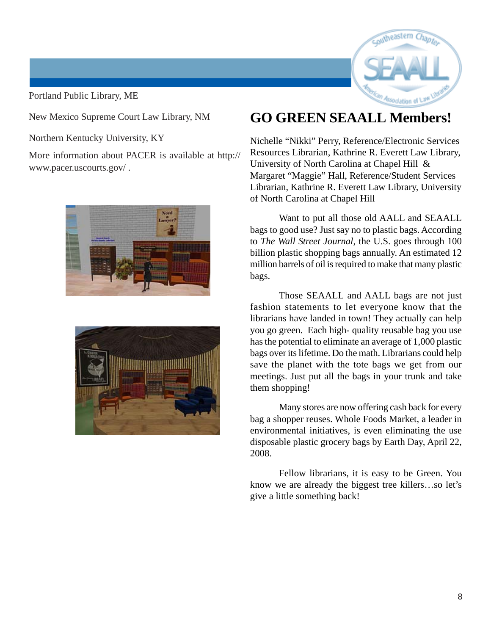Portland Public Library, ME



New Mexico Supreme Court Law Library, NM

Northern Kentucky University, KY

More information about PACER is available at http:// www.pacer.uscourts.gov/ .





## **GO GREEN SEAALL Members!**

Nichelle "Nikki" Perry, Reference/Electronic Services Resources Librarian, Kathrine R. Everett Law Library, University of North Carolina at Chapel Hill & Margaret "Maggie" Hall, Reference/Student Services Librarian, Kathrine R. Everett Law Library, University of North Carolina at Chapel Hill

Want to put all those old AALL and SEAALL bags to good use? Just say no to plastic bags. According to *The Wall Street Journal*, the U.S. goes through 100 billion plastic shopping bags annually. An estimated 12 million barrels of oil is required to make that many plastic bags.

Those SEAALL and AALL bags are not just fashion statements to let everyone know that the librarians have landed in town! They actually can help you go green. Each high- quality reusable bag you use has the potential to eliminate an average of 1,000 plastic bags over its lifetime. Do the math. Librarians could help save the planet with the tote bags we get from our meetings. Just put all the bags in your trunk and take them shopping!

Many stores are now offering cash back for every bag a shopper reuses. Whole Foods Market, a leader in environmental initiatives, is even eliminating the use disposable plastic grocery bags by Earth Day, April 22, 2008.

Fellow librarians, it is easy to be Green. You know we are already the biggest tree killers…so let's give a little something back!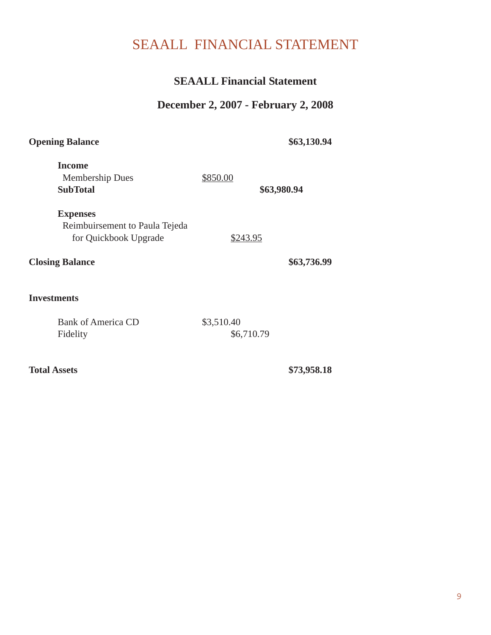## SEAALL FINANCIAL STATEMENT

## **SEAALL Financial Statement**

## **December 2, 2007 - February 2, 2008**

| <b>Opening Balance</b>                                                                               |                          | \$63,130.94 |
|------------------------------------------------------------------------------------------------------|--------------------------|-------------|
| <b>Income</b><br><b>Membership Dues</b><br><b>SubTotal</b>                                           | \$850.00                 | \$63,980.94 |
| <b>Expenses</b><br>Reimbuirsement to Paula Tejeda<br>for Quickbook Upgrade<br><b>Closing Balance</b> | <u>\$243.95</u>          | \$63,736.99 |
| <b>Investments</b>                                                                                   |                          |             |
| <b>Bank of America CD</b><br>Fidelity                                                                | \$3,510.40<br>\$6,710.79 |             |
| <b>Total Assets</b>                                                                                  |                          | \$73,958.18 |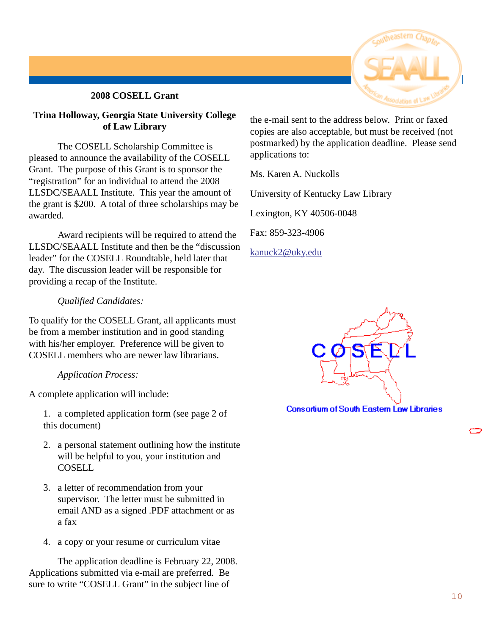### **2008 COSELL Grant**

### **Trina Holloway, Georgia State University College of Law Library**

The COSELL Scholarship Committee is pleased to announce the availability of the COSELL Grant. The purpose of this Grant is to sponsor the "registration" for an individual to attend the 2008 LLSDC/SEAALL Institute. This year the amount of the grant is \$200. A total of three scholarships may be awarded.

Award recipients will be required to attend the LLSDC/SEAALL Institute and then be the "discussion leader" for the COSELL Roundtable, held later that day. The discussion leader will be responsible for providing a recap of the Institute.

### *Qualified Candidates:*

To qualify for the COSELL Grant, all applicants must be from a member institution and in good standing with his/her employer. Preference will be given to COSELL members who are newer law librarians.

### *Application Process:*

A complete application will include:

- 1. a completed application form (see page 2 of this document)
- 2. a personal statement outlining how the institute will be helpful to you, your institution and **COSELL**
- 3. a letter of recommendation from your supervisor. The letter must be submitted in email AND as a signed .PDF attachment or as a fax
- 4. a copy or your resume or curriculum vitae

The application deadline is February 22, 2008. Applications submitted via e-mail are preferred. Be sure to write "COSELL Grant" in the subject line of



the e-mail sent to the address below. Print or faxed copies are also acceptable, but must be received (not postmarked) by the application deadline. Please send applications to:

Ms. Karen A. Nuckolls

University of Kentucky Law Library

Lexington, KY 40506-0048

Fax: 859-323-4906

kanuck2@uky.edu



**Consortium of South Eastern Law Libraries**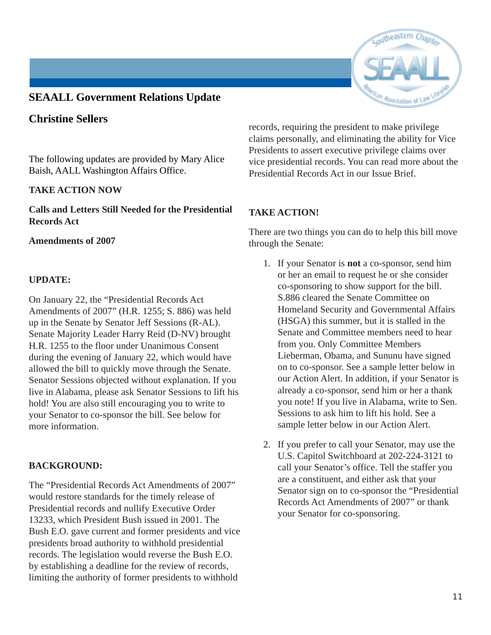## **SEAALL Government Relations Update**

## **Christine Sellers**

The following updates are provided by Mary Alice Baish, AALL Washington Affairs Office.

### **TAKE ACTION NOW**

**Calls and Letters Still Needed for the Presidential Records Act**

### **Amendments of 2007**

### **UPDATE:**

On January 22, the "Presidential Records Act Amendments of 2007" (H.R. 1255; S. 886) was held up in the Senate by Senator Jeff Sessions (R-AL). Senate Majority Leader Harry Reid (D-NV) brought H.R. 1255 to the floor under Unanimous Consent during the evening of January 22, which would have allowed the bill to quickly move through the Senate. Senator Sessions objected without explanation. If you live in Alabama, please ask Senator Sessions to lift his hold! You are also still encouraging you to write to your Senator to co-sponsor the bill. See below for more information.

### **BACKGROUND:**

The "Presidential Records Act Amendments of 2007" would restore standards for the timely release of Presidential records and nullify Executive Order 13233, which President Bush issued in 2001. The Bush E.O. gave current and former presidents and vice presidents broad authority to withhold presidential records. The legislation would reverse the Bush E.O. by establishing a deadline for the review of records, limiting the authority of former presidents to withhold

records, requiring the president to make privilege claims personally, and eliminating the ability for Vice Presidents to assert executive privilege claims over vice presidential records. You can read more about the Presidential Records Act in our Issue Brief.

### **TAKE ACTION!**

There are two things you can do to help this bill move through the Senate:

- 1. If your Senator is **not** a co-sponsor, send him or her an email to request he or she consider co-sponsoring to show support for the bill. S.886 cleared the Senate Committee on Homeland Security and Governmental Affairs (HSGA) this summer, but it is stalled in the Senate and Committee members need to hear from you. Only Committee Members Lieberman, Obama, and Sununu have signed on to co-sponsor. See a sample letter below in our Action Alert. In addition, if your Senator is already a co-sponsor, send him or her a thank you note! If you live in Alabama, write to Sen. Sessions to ask him to lift his hold. See a sample letter below in our Action Alert.
- 2. If you prefer to call your Senator, may use the U.S. Capitol Switchboard at 202-224-3121 to call your Senator's office. Tell the staffer you are a constituent, and either ask that your Senator sign on to co-sponsor the "Presidential Records Act Amendments of 2007" or thank your Senator for co-sponsoring.

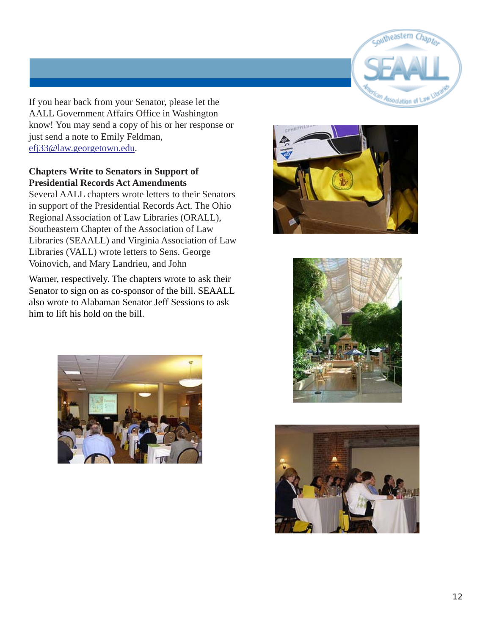

If you hear back from your Senator, please let the AALL Government Affairs Office in Washington know! You may send a copy of his or her response or just send a note to Emily Feldman, efj33@law.georgetown.edu.

### **Chapters Write to Senators in Support of Presidential Records Act Amendments**

Several AALL chapters wrote letters to their Senators in support of the Presidential Records Act. The Ohio Regional Association of Law Libraries (ORALL), Southeastern Chapter of the Association of Law Libraries (SEAALL) and Virginia Association of Law Libraries (VALL) wrote letters to Sens. George Voinovich, and Mary Landrieu, and John

Warner, respectively. The chapters wrote to ask their Senator to sign on as co-sponsor of the bill. SEAALL also wrote to Alabaman Senator Jeff Sessions to ask him to lift his hold on the bill.







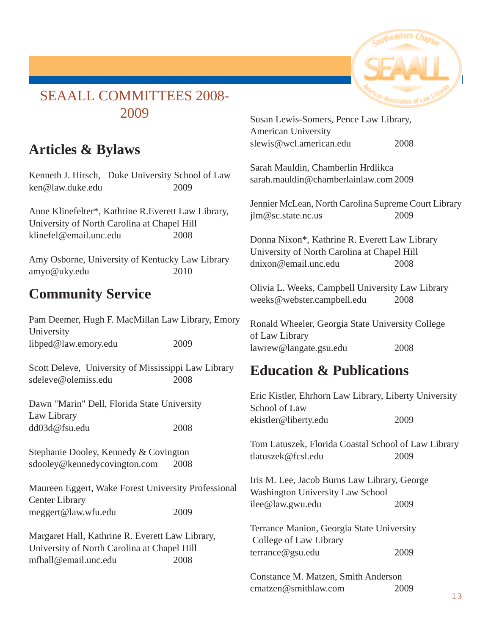

## SEAALL COMMITTEES 2008- 2009

## **Articles & Bylaws**

Kenneth J. Hirsch, Duke University School of Law ken@law.duke.edu 2009

Anne Klinefelter\*, Kathrine R.Everett Law Library, University of North Carolina at Chapel Hill klinefel@email.unc.edu 2008

Amy Osborne, University of Kentucky Law Library amyo@uky.edu 2010

## **Community Service**

Pam Deemer, Hugh F. MacMillan Law Library, Emory University libped@law.emory.edu 2009

Scott Deleve, University of Mississippi Law Library sdeleve@olemiss.edu 2008

Dawn "Marin" Dell, Florida State University Law Library dd03d@fsu.edu 2008

Stephanie Dooley, Kennedy & Covington sdooley@kennedycovington.com 2008

Maureen Eggert, Wake Forest University Professional Center Library meggert@law.wfu.edu 2009

Margaret Hall, Kathrine R. Everett Law Library, University of North Carolina at Chapel Hill mfhall@email.unc.edu 2008

Susan Lewis-Somers, Pence Law Library, American University slewis@wcl.american.edu 2008

Sarah Mauldin, Chamberlin Hrdlikca sarah.mauldin@chamberlainlaw.com 2009

Jennier McLean, North Carolina Supreme Court Library jlm@sc.state.nc.us 2009

Donna Nixon\*, Kathrine R. Everett Law Library University of North Carolina at Chapel Hill dnixon@email.unc.edu 2008

Olivia L. Weeks, Campbell University Law Library weeks@webster.campbell.edu 2008

Ronald Wheeler, Georgia State University College of Law Library lawrew@langate.gsu.edu 2008

## **Education & Publications**

Eric Kistler, Ehrhorn Law Library, Liberty University School of Law ekistler@liberty.edu 2009 Tom Latuszek, Florida Coastal School of Law Library tlatuszek@fcsl.edu 2009 Iris M. Lee, Jacob Burns Law Library, George Washington University Law School ilee@law.gwu.edu 2009 Terrance Manion, Georgia State University College of Law Library terrance@gsu.edu 2009 Constance M. Matzen, Smith Anderson cmatzen@smithlaw.com 2009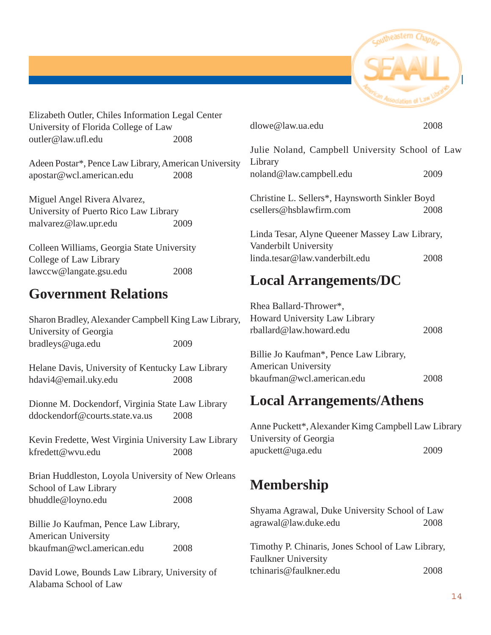

Elizabeth Outler, Chiles Information Legal Center University of Florida College of Law outler@law.ufl.edu 2008

Adeen Postar\*, Pence Law Library, American University apostar@wcl.american.edu 2008

Miguel Angel Rivera Alvarez, University of Puerto Rico Law Library malvarez@law.upr.edu 2009

Colleen Williams, Georgia State University College of Law Library lawccw@langate.gsu.edu 2008

## **Government Relations**

Sharon Bradley, Alexander Campbell King Law Library, University of Georgia bradleys@uga.edu 2009

Helane Davis, University of Kentucky Law Library hdavi4@email.uky.edu 2008

Dionne M. Dockendorf, Virginia State Law Library ddockendorf@courts.state.va.us 2008

Kevin Fredette, West Virginia University Law Library kfredett@wvu.edu 2008

Brian Huddleston, Loyola University of New Orleans School of Law Library bhuddle@loyno.edu 2008

Billie Jo Kaufman, Pence Law Library, American University bkaufman@wcl.american.edu 2008

David Lowe, Bounds Law Library, University of Alabama School of Law

| dlowe@law.ua.edu                                                        | 2008 |
|-------------------------------------------------------------------------|------|
| Julie Noland, Campbell University School of Law<br>Library              |      |
| noland@law.campbell.edu                                                 | 2009 |
| Christine L. Sellers*, Haynsworth Sinkler Boyd                          |      |
| csellers@hsblawfirm.com                                                 | 2008 |
| Linda Tesar, Alyne Queener Massey Law Library,<br>Vanderbilt University |      |
| linda.tesar@law.vanderbilt.edu                                          | 2008 |

## **Local Arrangements/DC**

| Rhea Ballard-Thrower*,<br>Howard University Law Library<br>$r$ ballard@law.howard.edu             | 2008 |
|---------------------------------------------------------------------------------------------------|------|
| Billie Jo Kaufman*, Pence Law Library,<br><b>American University</b><br>bkaufman@wcl.american.edu |      |

## **Local Arrangements/Athens**

Anne Puckett\*, Alexander Kimg Campbell Law Library University of Georgia apuckett@uga.edu 2009

## **Membership**

Shyama Agrawal, Duke University School of Law agrawal@law.duke.edu 2008

Timothy P. Chinaris, Jones School of Law Library, Faulkner University tchinaris@faulkner.edu 2008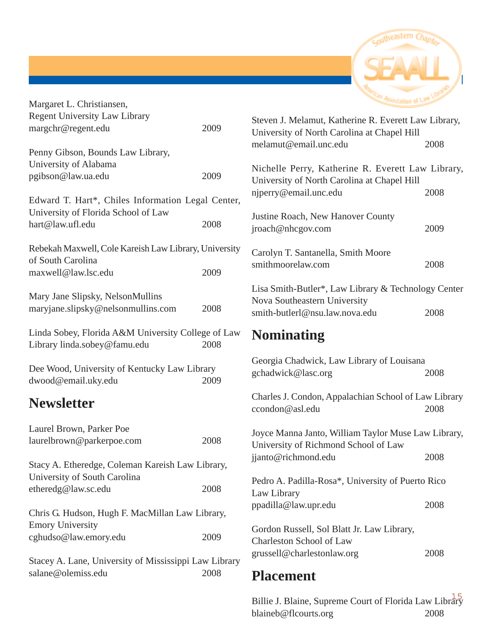

| Margaret L. Christiansen,                                                                |      |
|------------------------------------------------------------------------------------------|------|
| <b>Regent University Law Library</b>                                                     |      |
| margchr@regent.edu                                                                       | 2009 |
| Penny Gibson, Bounds Law Library,                                                        |      |
| University of Alabama                                                                    |      |
| pgibson@law.ua.edu                                                                       | 2009 |
| Edward T. Hart*, Chiles Information Legal Center,<br>University of Florida School of Law |      |
| hart@law.ufl.edu                                                                         | 2008 |
| Rebekah Maxwell, Cole Kareish Law Library, University<br>of South Carolina               |      |
| maxwell@law.lsc.edu                                                                      | 2009 |
| Mary Jane Slipsky, NelsonMullins                                                         |      |
| maryjane.slipsky@nelsonmullins.com                                                       | 2008 |
| Linda Sobey, Florida A&M University College of Law                                       |      |
| Library linda.sobey@famu.edu                                                             | 2008 |
| Dee Wood, University of Kentucky Law Library                                             |      |
| dwood@email.uky.edu                                                                      | 2009 |
| <b>Newsletter</b>                                                                        |      |
| Laurel Brown, Parker Poe                                                                 |      |
| laurelbrown@parkerpoe.com                                                                | 2008 |
| Stacy A. Etheredge, Coleman Kareish Law Library,<br>University of South Carolina         |      |
| etheredg@law.sc.edu                                                                      | 2008 |
| Chris G. Hudson, Hugh F. MacMillan Law Library,<br><b>Emory University</b>               |      |
| cghudso@law.emory.edu                                                                    | 2009 |
| Stacey A. Lane, University of Mississippi Law Library                                    |      |
| salane@olemiss.edu                                                                       | 2008 |

| Steven J. Melamut, Katherine R. Everett Law Library,<br>University of North Carolina at Chapel Hill |      |
|-----------------------------------------------------------------------------------------------------|------|
| melamut@email.unc.edu                                                                               | 2008 |
| Nichelle Perry, Katherine R. Everett Law Library,<br>University of North Carolina at Chapel Hill    |      |
| niperry@email.unc.edu                                                                               | 2008 |
| Justine Roach, New Hanover County<br>jroach@nhcgov.com                                              | 2009 |
| Carolyn T. Santanella, Smith Moore<br>smithmoorelaw.com                                             | 2008 |
| Lisa Smith-Butler*, Law Library & Technology Center<br>Nova Southeastern University                 |      |
| smith-butlerl@nsu.law.nova.edu                                                                      | 2008 |

## **Nominating**

| Georgia Chadwick, Law Library of Louisana<br>gchadwick@lasc.org                                                    | 2008 |
|--------------------------------------------------------------------------------------------------------------------|------|
| Charles J. Condon, Appalachian School of Law Library<br>ccondon@as1.edu                                            | 2008 |
| Joyce Manna Janto, William Taylor Muse Law Library,<br>University of Richmond School of Law<br>jjanto@richmond.edu | 2008 |
| Pedro A. Padilla-Rosa*, University of Puerto Rico<br>Law Library<br>ppadilla@law.upr.edu                           | 2008 |
| Gordon Russell, Sol Blatt Jr. Law Library,<br>Charleston School of Law<br>grussell@charlestonlaw.org               | 2008 |

## **Placement**

15 Billie J. Blaine, Supreme Court of Florida Law Library blaineb@flcourts.org 2008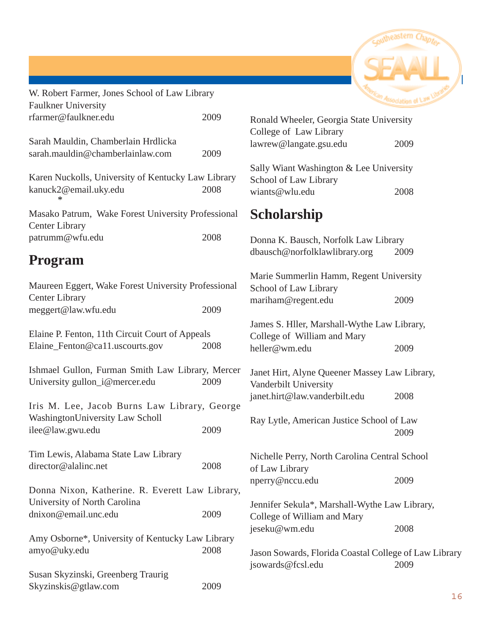

| W. Robert Farmer, Jones School of Law Library                                      |      | <b><i><u>extan Association</u></i></b>                                  |      |
|------------------------------------------------------------------------------------|------|-------------------------------------------------------------------------|------|
| <b>Faulkner University</b>                                                         |      |                                                                         |      |
| rfarmer@faulkner.edu                                                               | 2009 | Ronald Wheeler, Georgia State University<br>College of Law Library      |      |
| Sarah Mauldin, Chamberlain Hrdlicka<br>sarah.mauldin@chamberlainlaw.com            | 2009 | lawrew@langate.gsu.edu                                                  | 2009 |
| Karen Nuckolls, University of Kentucky Law Library                                 |      | Sally Wiant Washington & Lee University<br>School of Law Library        |      |
| kanuck2@email.uky.edu<br>*                                                         | 2008 | wiants@wlu.edu                                                          | 2008 |
| Masako Patrum, Wake Forest University Professional<br><b>Center Library</b>        |      | <b>Scholarship</b>                                                      |      |
| patrumm@wfu.edu                                                                    | 2008 | Donna K. Bausch, Norfolk Law Library<br>dbausch@norfolklawlibrary.org   | 2009 |
| <b>Program</b>                                                                     |      |                                                                         |      |
| Maureen Eggert, Wake Forest University Professional                                |      | Marie Summerlin Hamm, Regent Universi<br>School of Law Library          |      |
| <b>Center Library</b><br>meggert@law.wfu.edu                                       | 2009 | mariham@regent.edu                                                      | 2009 |
| Elaine P. Fenton, 11th Circuit Court of Appeals                                    |      | James S. Hller, Marshall-Wythe Law Libra<br>College of William and Mary |      |
| Elaine_Fenton@ca11.uscourts.gov                                                    | 2008 | heller@wm.edu                                                           | 2009 |
| Ishmael Gullon, Furman Smith Law Library, Mercer<br>University gullon_i@mercer.edu | 2009 | Janet Hirt, Alyne Queener Massey Law Lil<br>Vanderbilt University       |      |
| Iris M. Lee, Jacob Burns Law Library, George                                       |      | janet.hirt@law.vanderbilt.edu                                           | 2008 |
| WashingtonUniversity Law Scholl                                                    |      | Ray Lytle, American Justice School of Lav                               |      |
| ilee@law.gwu.edu                                                                   | 2009 |                                                                         | 2009 |
| Tim Lewis, Alabama State Law Library<br>director@alalinc.net                       | 2008 | Nichelle Perry, North Carolina Central Sch<br>of Law Library            |      |
| Donna Nixon, Katherine. R. Everett Law Library,                                    |      | nperry@nccu.edu                                                         | 2009 |
| University of North Carolina                                                       |      | Jennifer Sekula*, Marshall-Wythe Law Lib                                |      |
| dnixon@email.unc.edu                                                               | 2009 | College of William and Mary<br>jeseku@wm.edu                            | 2008 |
| Amy Osborne*, University of Kentucky Law Library                                   |      |                                                                         |      |
| amyo@uky.edu                                                                       | 2008 | Jason Sowards, Florida Coastal College of<br>jsowards@fcsl.edu          | 2009 |
| Susan Skyzinski, Greenberg Traurig                                                 |      |                                                                         |      |

Skyzinskis@gtlaw.com 2009



Ine Queener Massey Law Library, versity vanderbilt.edu 2008

North Carolina Central School of Law Library edu 2009

a\*, Marshall-Wythe Law Library, Iliam and Mary du  $2008$ 

, Florida Coastal College of Law Library edu 2009